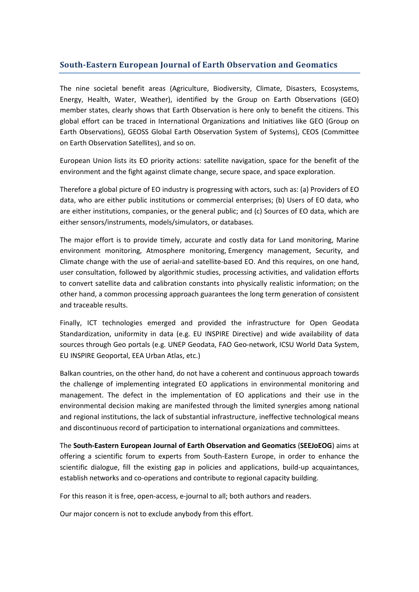## **South-Eastern European Journal of Earth Observation and Geomatics**

The nine societal benefit areas (Agriculture, Biodiversity, Climate, Disasters, Ecosystems, Energy, Health, Water, Weather), identified by the Group on Earth Observations (GEO) member states, clearly shows that Earth Observation is here only to benefit the citizens. This global effort can be traced in International Organizations and Initiatives like GEO (Group on Earth Observations), GEOSS Global Earth Observation System of Systems), CEOS (Committee on Earth Observation Satellites), and so on.

European Union lists its EO priority actions: satellite navigation, space for the benefit of the environment and the fight against climate change, secure space, and space exploration.

Therefore a global picture of EO industry is progressing with actors, such as: (a) Providers of EO data, who are either public institutions or commercial enterprises; (b) Users of EO data, who are either institutions, companies, or the general public; and (c) Sources of EO data, which are either sensors/instruments, models/simulators, or databases.

The major effort is to provide timely, accurate and costly data for Land monitoring, Marine environment monitoring, Atmosphere monitoring, Emergency management, Security, and Climate change with the use of aerial-and satellite-based EO. And this requires, on one hand, user consultation, followed by algorithmic studies, processing activities, and validation efforts to convert satellite data and calibration constants into physically realistic information; on the other hand, a common processing approach guarantees the long term generation of consistent and traceable results.

Finally, ICT technologies emerged and provided the infrastructure for Open Geodata Standardization, uniformity in data (e.g. EU INSPIRE Directive) and wide availability of data sources through Geo portals (e.g. UNEP Geodata, FAO Geo-network, ICSU World Data System, EU INSPIRE Geoportal, EEA Urban Atlas, etc.)

Balkan countries, on the other hand, do not have a coherent and continuous approach towards the challenge of implementing integrated EO applications in environmental monitoring and management. The defect in the implementation of EO applications and their use in the environmental decision making are manifested through the limited synergies among national and regional institutions, the lack of substantial infrastructure, ineffective technological means and discontinuous record of participation to international organizations and committees.

The **South-Eastern European Journal of Earth Observation and Geomatics** (**SEEJoEOG**) aims at offering a scientific forum to experts from South-Eastern Europe, in order to enhance the scientific dialogue, fill the existing gap in policies and applications, build-up acquaintances, establish networks and co-operations and contribute to regional capacity building.

For this reason it is free, open-access, e-journal to all; both authors and readers.

Our major concern is not to exclude anybody from this effort.